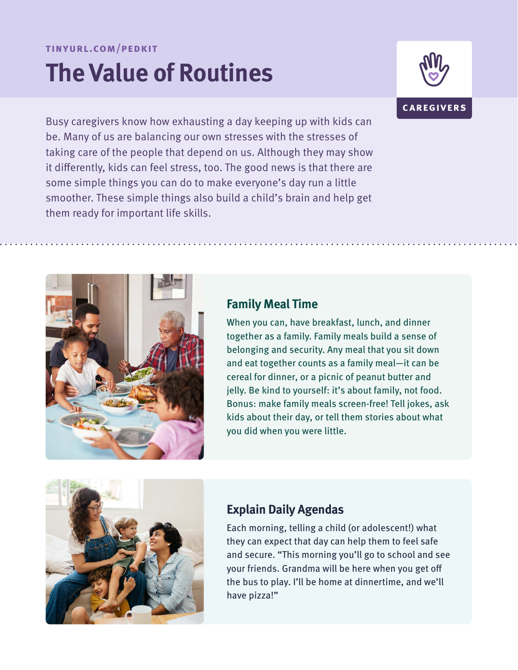#### **tinyurl.com/pedkit**

# **The Value of Routines**







#### **Family Meal Time**

When you can, have breakfast, lunch, and dinner together as a family. Family meals build a sense of belonging and security. Any meal that you sit down and eat together counts as a family meal—it can be cereal for dinner, or a picnic of peanut butter and jelly. Be kind to yourself: it's about family, not food. Bonus: make family meals screen-free! Tell jokes, ask kids about their day, or tell them stories about what you did when you were little.



#### **Explain Daily Agendas**

Each morning, telling a child (or adolescent!) what they can expect that day can help them to feel safe and secure. "This morning you'll go to school and see your friends. Grandma will be here when you get off the bus to play. I'll be home at dinnertime, and we'll have pizza!"